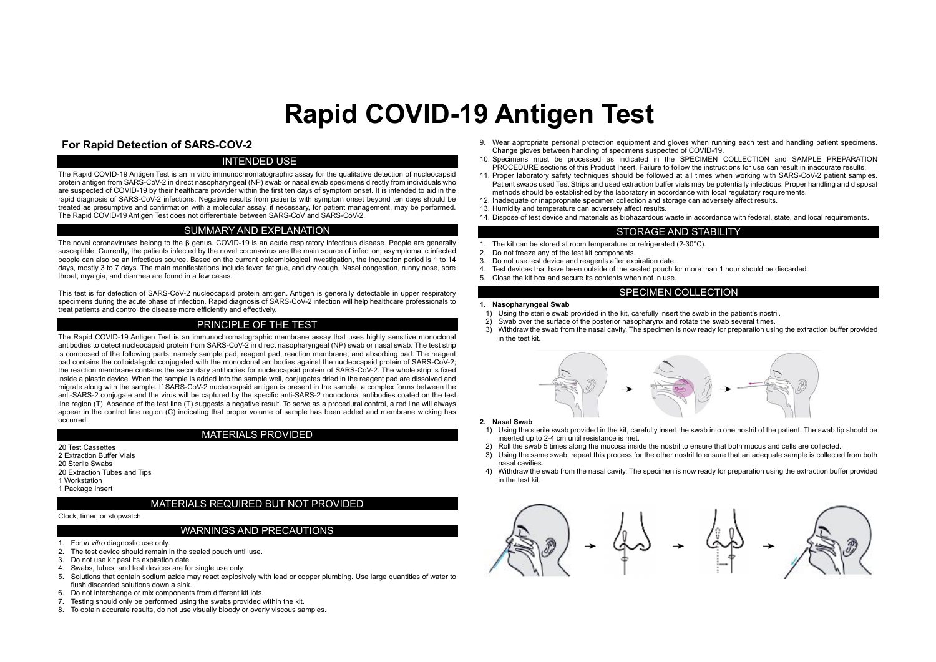# **Rapid COVID-19 Antigen Test**

# **For Rapid Detection of SARS-COV-2**

## INTENDED USE

The Rapid COVID-19 Antigen Test is an in vitro immunochromatographic assay for the qualitative detection of nucleocapsid protein antigen from SARS-CoV-2 in direct nasopharyngeal (NP) swab or nasal swab specimens directly from individuals who are suspected of COVID-19 by their healthcare provider within the first ten days of symptom onset. It is intended to aid in the rapid diagnosis of SARS-CoV-2 infections. Negative results from patients with symptom onset beyond ten days should be treated as presumptive and confirmation with a molecular assay, if necessary, for patient management, may be performed. The Rapid COVID-19 Antigen Test does not differentiate between SARS-CoV and SARS-CoV-2.

## SUMMARY AND EXPLANATION

The novel coronaviruses belong to the β genus. COVID-19 is an acute respiratory infectious disease. People are generally susceptible. Currently, the patients infected by the novel coronavirus are the main source of infection; asymptomatic infected people can also be an infectious source. Based on the current epidemiological investigation, the incubation period is 1 to 14 days, mostly 3 to 7 days. The main manifestations include fever, fatigue, and dry cough. Nasal congestion, runny nose, sore throat, myalgia, and diarrhea are found in a few cases.

This test is for detection of SARS-CoV-2 nucleocapsid protein antigen. Antigen is generally detectable in upper respiratory specimens during the acute phase of infection. Rapid diagnosis of SARS-CoV-2 infection will help healthcare professionals to treat patients and control the disease more efficiently and effectively.

## PRINCIPLE OF THE TEST

The Rapid COVID-19 Antigen Test is an immunochromatographic membrane assay that uses highly sensitive monoclonal antibodies to detect nucleocapsid protein from SARS-CoV-2 in direct nasopharyngeal (NP) swab or nasal swab. The test strip is composed of the following parts: namely sample pad, reagent pad, reaction membrane, and absorbing pad. The reagent pad contains the colloidal-gold conjugated with the monoclonal antibodies against the nucleocapsid protein of SARS-CoV-2; the reaction membrane contains the secondary antibodies for nucleocapsid protein of SARS-CoV-2. The whole strip is fixed inside a plastic device. When the sample is added into the sample well, conjugates dried in the reagent pad are dissolved and migrate along with the sample. If SARS-CoV-2 nucleocapsid antigen is present in the sample, a complex forms between the anti-SARS-2 conjugate and the virus will be captured by the specific anti-SARS-2 monoclonal antibodies coated on the test line region (T). Absence of the test line (T) suggests a negative result. To serve as a procedural control, a red line will always appear in the control line region (C) indicating that proper volume of sample has been added and membrane wicking has occurred.

## MATERIALS PROVIDED

20 Test Cassettes 2 Extraction Buffer Vials 20 Sterile Swabs 20 Extraction Tubes and Tips 1 Workstation 1 Package Insert

## MATERIALS REQUIRED BUT NOT PROVIDED

#### Clock, timer, or stopwatch

## WARNINGS AND PRECAUTIONS

- 1. For *in vitro* diagnostic use only.
- 2. The test device should remain in the sealed pouch until use.
- 3. Do not use kit past its expiration date.
- 4. Swabs, tubes, and test devices are for single use only.
- 5. Solutions that contain sodium azide may react explosively with lead or copper plumbing. Use large quantities of water to flush discarded solutions down a sink.
- 6. Do not interchange or mix components from different kit lots.
- 7. Testing should only be performed using the swabs provided within the kit.
- 8. To obtain accurate results, do not use visually bloody or overly viscous samples.
- 9. Wear appropriate personal protection equipment and gloves when running each test and handling patient specimens. Change gloves between handling of specimens suspected of COVID-19.
- 10. Specimens must be processed as indicated in the SPECIMEN COLLECTION and SAMPLE PREPARATION PROCEDURE sections of this Product Insert. Failure to follow the instructions for use can result in inaccurate results.
- 11. Proper laboratory safety techniques should be followed at all times when working with SARS-CoV-2 patient samples. Patient swabs used Test Strips and used extraction buffer vials may be potentially infectious. Proper handling and disposal methods should be established by the laboratory in accordance with local regulatory requirements.
- 12. Inadequate or inappropriate specimen collection and storage can adversely affect results.
- 13. Humidity and temperature can adversely affect results.
- 14. Dispose of test device and materials as biohazardous waste in accordance with federal, state, and local requirements.

## STORAGE AND STABILITY

- 1. The kit can be stored at room temperature or refrigerated  $(2-30^{\circ}C)$ .<br>2. Do not freeze any of the test kit components.
- 
- 2. Do not freeze any of the test kit components.<br>3. Do not use test device and reagents after ex-
- 3. Do not use test device and reagents after expiration date.<br>4. Test devices that have been outside of the sealed pouch to Test devices that have been outside of the sealed pouch for more than 1 hour should be discarded.
- 5. Close the kit box and secure its contents when not in use.

#### SPECIMEN COLLECTION

#### **1. Nasopharyngeal Swab**

- 1) Using the sterile swab provided in the kit, carefully insert the swab in the patient's nostril.
- 2) Swab over the surface of the posterior nasopharynx and rotate the swab several times.
- 3) Withdraw the swab from the nasal cavity. The specimen is now ready for preparation using the extraction buffer provided in the test kit.



#### **2. Nasal Swab**

- 1) Using the sterile swab provided in the kit, carefully insert the swab into one nostril of the patient. The swab tip should be inserted up to 2-4 cm until resistance is met.
- 2) Roll the swab 5 times along the mucosa inside the nostril to ensure that both mucus and cells are collected.
- 3) Using the same swab, repeat this process for the other nostril to ensure that an adequate sample is collected from both nasal cavities.
- 4) Withdraw the swab from the nasal cavity. The specimen is now ready for preparation using the extraction buffer provided in the test kit.

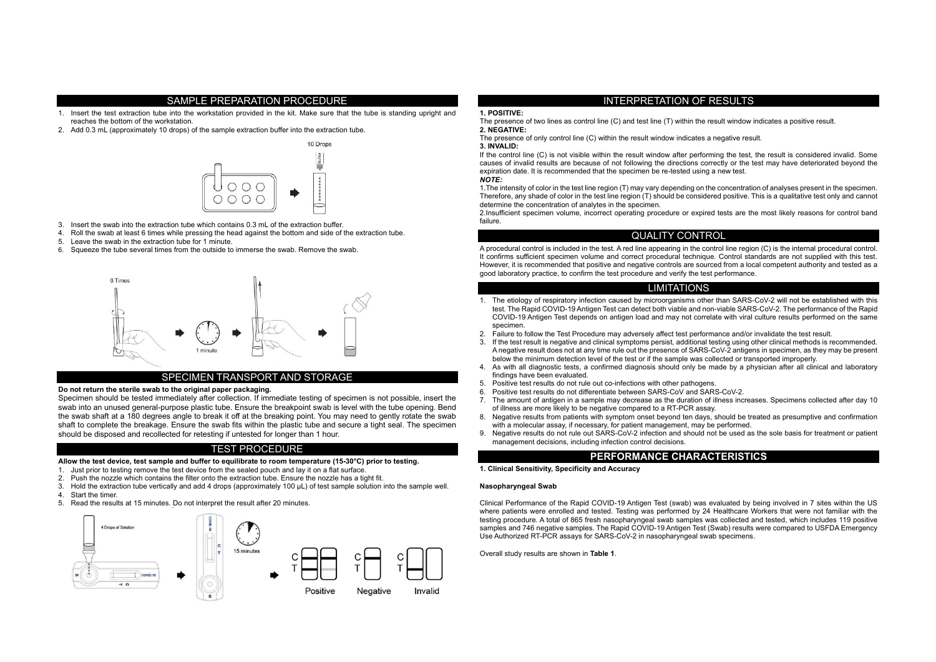#### SAMPLE PREPARATION PROCEDURE

- 1. Insert the test extraction tube into the workstation provided in the kit. Make sure that the tube is standing upright and reaches the bottom of the workstation.
- 2. Add 0.3 mL (approximately 10 drops) of the sample extraction buffer into the extraction tube.



- 3. Insert the swab into the extraction tube which contains 0.3 mL of the extraction buffer.
- 4. Roll the swab at least 6 times while pressing the head against the bottom and side of the extraction tube.
- 5. Leave the swab in the extraction tube for 1 minute.
- 6. Squeeze the tube several times from the outside to immerse the swab. Remove the swab.



## SPECIMEN TRANSPORT AND STORAGE

#### **Do not return the sterile swab to the original paper packaging.**

Specimen should be tested immediately after collection. If immediate testing of specimen is not possible, insert the swab into an unused general-purpose plastic tube. Ensure the breakpoint swab is level with the tube opening. Bend the swab shaft at a 180 degrees angle to break it off at the breaking point. You may need to gently rotate the swab shaft to complete the breakage. Ensure the swab fits within the plastic tube and secure a tight seal. The specimen should be disposed and recollected for retesting if untested for longer than 1 hour.

## TEST PROCEDURE

#### **Allow the test device, test sample and buffer to equilibrate to room temperature (15-30°C) prior to testing.**

- 1. Just prior to testing remove the test device from the sealed pouch and lay it on a flat surface.
- 2. Push the nozzle which contains the filter onto the extraction tube. Ensure the nozzle has a tight fit.
- 3. Hold the extraction tube vertically and add 4 drops (approximately 100 μL) of test sample solution into the sample well.
- 4. Start the timer.
- 5. Read the results at 15 minutes. Do not interpret the result after 20 minutes.



## INTERPRETATION OF RESULTS

## **1. POSITIVE:**

The presence of two lines as control line (C) and test line (T) within the result window indicates a positive result. **2. NEGATIVE:**

The presence of only control line (C) within the result window indicates a negative result.

## **3. INVALID:**

If the control line (C) is not visible within the result window after performing the test, the result is considered invalid. Some causes of invalid results are because of not following the directions correctly or the test may have deteriorated beyond the expiration date. It is recommended that the specimen be re-tested using a new test. *NOTE:* 

1.The intensity of color in the test line region (T) may vary depending on the concentration of analyses present in the specimen. Therefore, any shade of color in the test line region (T) should be considered positive. This is a qualitative test only and cannot determine the concentration of analytes in the specimen.

2.Insufficient specimen volume, incorrect operating procedure or expired tests are the most likely reasons for control band failure.

## QUALITY CONTROL

A procedural control is included in the test. A red line appearing in the control line region (C) is the internal procedural control. It confirms sufficient specimen volume and correct procedural technique. Control standards are not supplied with this test. However, it is recommended that positive and negative controls are sourced from a local competent authority and tested as a good laboratory practice, to confirm the test procedure and verify the test performance.

## LIMITATIONS

- 1. The etiology of respiratory infection caused by microorganisms other than SARS-CoV-2 will not be established with this test. The Rapid COVID-19 Antigen Test can detect both viable and non-viable SARS-CoV-2. The performance of the Rapid COVID-19 Antigen Test depends on antigen load and may not correlate with viral culture results performed on the same specimen.
- 2. Failure to follow the Test Procedure may adversely affect test performance and/or invalidate the test result.
- 3. If the test result is negative and clinical symptoms persist, additional testing using other clinical methods is recommended. A negative result does not at any time rule out the presence of SARS-CoV-2 antigens in specimen, as they may be present below the minimum detection level of the test or if the sample was collected or transported improperly.
- 4. As with all diagnostic tests, a confirmed diagnosis should only be made by a physician after all clinical and laboratory findings have been evaluated.
- 5. Positive test results do not rule out co-infections with other pathogens.
- 6. Positive test results do not differentiate between SARS-CoV and SARS-CoV-2.
- 7. The amount of antigen in a sample may decrease as the duration of illness increases. Specimens collected after day 10 of illness are more likely to be negative compared to a RT-PCR assay.
- 8. Negative results from patients with symptom onset beyond ten days, should be treated as presumptive and confirmation with a molecular assay, if necessary, for patient management, may be performed.
- 9. Negative results do not rule out SARS-CoV-2 infection and should not be used as the sole basis for treatment or patient management decisions, including infection control decisions.

## **PERFORMANCE CHARACTERISTICS**

#### **1. Clinical Sensitivity, Specificity and Accuracy**

#### **Nasopharyngeal Swab**

Clinical Performance of the Rapid COVID-19 Antigen Test (swab) was evaluated by being involved in 7 sites within the US where patients were enrolled and tested. Testing was performed by 24 Healthcare Workers that were not familiar with the testing procedure. A total of 865 fresh nasopharyngeal swab samples was collected and tested, which includes 119 positive samples and 746 negative samples. The Rapid COVID-19 Antigen Test (Swab) results were compared to USFDA Emergency Use Authorized RT-PCR assays for SARS-CoV-2 in nasopharyngeal swab specimens.

Overall study results are shown in **Table 1**.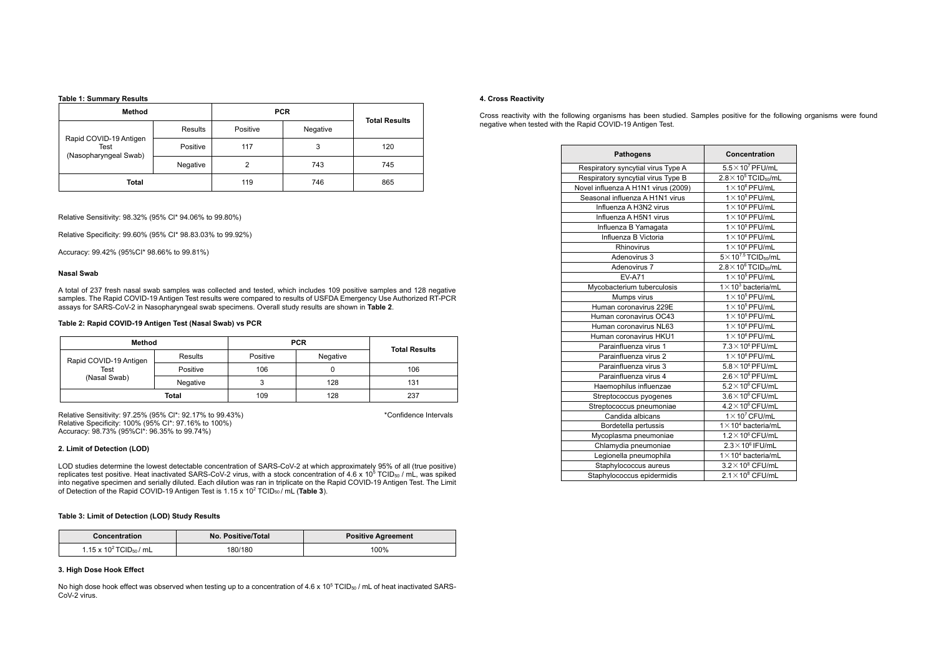**Table 1: Summary Results**

| Method                                                  |          | <b>PCR</b> |          | <b>Total Results</b> |  |
|---------------------------------------------------------|----------|------------|----------|----------------------|--|
| Rapid COVID-19 Antigen<br>Test<br>(Nasopharyngeal Swab) | Results  | Positive   | Negative |                      |  |
|                                                         | Positive | 117        | 3        | 120                  |  |
|                                                         | Negative | 2          | 743      | 745                  |  |
| Total                                                   |          | 119        | 746      | 865                  |  |

Relative Sensitivity: 98.32% (95% Cl\* 94.06% to 99.80%)

Relative Specificity: 99.60% (95% CI\* 98.83.03% to 99.92%)

Accuracy: 99.42% (95%CI\* 98.66% to 99.81%)

#### **Nasal Swab**

A total of 237 fresh nasal swab samples was collected and tested, which includes 109 positive samples and 128 negative samples. The Rapid COVID-19 Antigen Test results were compared to results of USFDA Emergency Use Authorized RT-PCR assays for SARS-CoV-2 in Nasopharyngeal swab specimens. Overall study results are shown in **Table 2**.

#### **Table 2: Rapid COVID-19 Antigen Test (Nasal Swab) vs PCR**

| Method                 |          | <b>PCR</b> |          | <b>Total Results</b> |  |
|------------------------|----------|------------|----------|----------------------|--|
| Rapid COVID-19 Antigen | Results  | Positive   | Negative |                      |  |
| <b>Test</b>            | Positive | 106        |          | 106                  |  |
| (Nasal Swab)           | Negative |            | 128      | 131                  |  |
|                        | Total    | 109        | 128      | 237                  |  |

Relative Sensitivity: 97.25% (95% Cl\*: 92.17% to 99.43%) **All and Sensitivity: 97.25% (95% Cl**\*: 92.17% to 99.43%) Relative Specificity: 100% (95% CI\*: 97.16% to 100%) Accuracy: 98.73% (95%CI\*: 96.35% to 99.74%)

#### **2. Limit of Detection (LOD)**

LOD studies determine the lowest detectable concentration of SARS-CoV-2 at which approximately 95% of all (true positive) replicates test positive. Heat inactivated SARS-CoV-2 virus, with a stock concentration of 4.6 x 10<sup>5</sup> TCID<sub>50</sub> / mL, was spiked into negative specimen and serially diluted. Each dilution was ran in triplicate on the Rapid COVID-19 Antigen Test. The Limit of Detection of the Rapid COVID-19 Antigen Test is 1.15 x 10<sup>2</sup> TCID<sub>50</sub>/ mL (Table 3).

#### **Table 3: Limit of Detection (LOD) Study Results**

| Concentration                            | No. Positive/Total | <b>Positive Agreement</b> |  |  |
|------------------------------------------|--------------------|---------------------------|--|--|
| 1.15 x 10 <sup>2</sup> TCID $_{50}$ / mL | 180/180            | 100%                      |  |  |

## **3. High Dose Hook Effect**

No high dose hook effect was observed when testing up to a concentration of 4.6 x 10<sup>5</sup> TCID<sub>50</sub> / mL of heat inactivated SARS-CoV-2 virus.

#### **4. Cross Reactivity**

Cross reactivity with the following organisms has been studied. Samples positive for the following organisms were found negative when tested with the Rapid COVID-19 Antigen Test.

| <b>Pathogens</b>                    | Concentration                              |  |  |
|-------------------------------------|--------------------------------------------|--|--|
| Respiratory syncytial virus Type A  | $5.5 \times 10^7$ PFU/mL                   |  |  |
| Respiratory syncytial virus Type B  | $2.8 \times 10^5$ TCID <sub>50</sub> /mL   |  |  |
| Novel influenza A H1N1 virus (2009) | $1 \times 10^6$ PFU/mL                     |  |  |
| Seasonal influenza A H1N1 virus     | $1 \times 10^5$ PFU/mL                     |  |  |
| Influenza A H3N2 virus              | $1 \times 10^6$ PFU/mL                     |  |  |
| Influenza A H5N1 virus              | $1 \times 10^6$ PFU/mL                     |  |  |
| Influenza B Yamagata                | $1 \times 10^5$ PFU/mL                     |  |  |
| Influenza B Victoria                | $1 \times 10^6$ PFU/mL                     |  |  |
| Rhinovirus                          | $1 \times 10^6$ PFU/mL                     |  |  |
| Adenovirus 3                        | $5 \times 10^{7.5}$ TCID <sub>50</sub> /mL |  |  |
| Adenovirus 7                        | $2.8 \times 10^6$ TCID <sub>50</sub> /mL   |  |  |
| <b>EV-A71</b>                       | $1 \times 10^5$ PFU/mL                     |  |  |
| Mycobacterium tuberculosis          | $1 \times 10^3$ bacteria/mL                |  |  |
| Mumps virus                         | $1 \times 10^5$ PFU/mL                     |  |  |
| Human coronavirus 229E              | $1 \times 10^5$ PFU/mL                     |  |  |
| Human coronavirus OC43              | $1 \times 10^5$ PFU/mL                     |  |  |
| Human coronavirus NL63              | $1 \times 10^6$ PFU/mL                     |  |  |
| Human coronavirus HKU1              | $1 \times 10^6$ PFU/mL                     |  |  |
| Parainfluenza virus 1               | $7.3 \times 10^6$ PFU/mL                   |  |  |
| Parainfluenza virus 2               | $1 \times 10^6$ PFU/mL                     |  |  |
| Parainfluenza virus 3               | $5.8 \times 10^6$ PFU/mL                   |  |  |
| Parainfluenza virus 4               | $2.6 \times 10^6$ PFU/mL                   |  |  |
| Haemophilus influenzae              | $5.2 \times 10^6$ CFU/mL                   |  |  |
| Streptococcus pyogenes              | $3.6 \times 10^6$ CFU/mL                   |  |  |
| Streptococcus pneumoniae            | $4.2 \times 10^6$ CFU/mL                   |  |  |
| Candida albicans                    | $1 \times 10^7$ CFU/mL                     |  |  |
| Bordetella pertussis                | $1 \times 10^4$ bacteria/mL                |  |  |
| Mycoplasma pneumoniae               | $1.2 \times 10^6$ CFU/mL                   |  |  |
| Chlamydia pneumoniae                | $2.3 \times 10^6$ IFU/mL                   |  |  |
| Legionella pneumophila              | $1 \times 10^4$ bacteria/mL                |  |  |
| Staphylococcus aureus               | $3.2 \times 10^8$ CFU/mL                   |  |  |
| Staphylococcus epidermidis          | $2.1 \times 10^8$ CFU/mL                   |  |  |